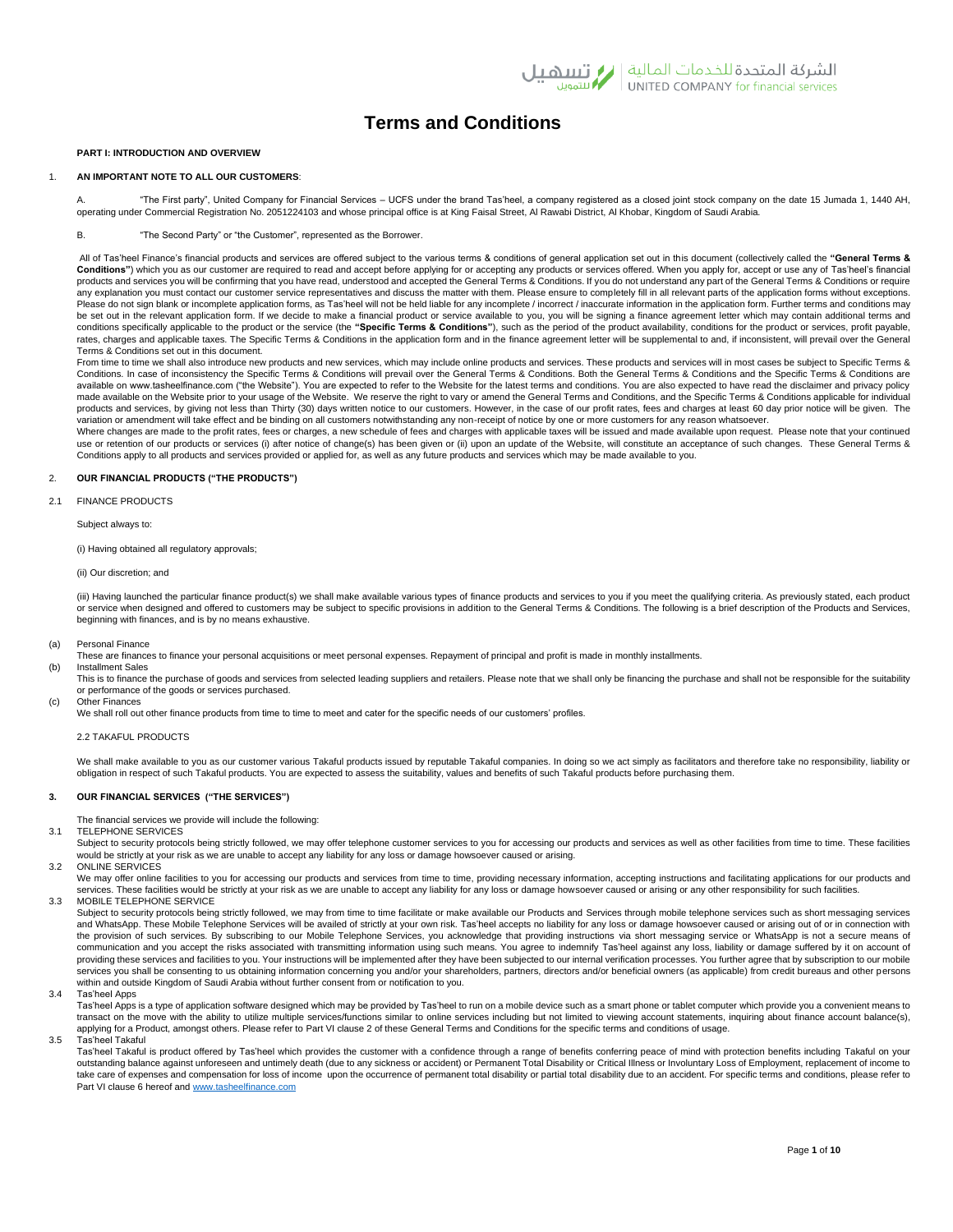# **Terms and Conditions**

# **PART I: INTRODUCTION AND OVERVIEW**

# 1. **AN IMPORTANT NOTE TO ALL OUR CUSTOMERS**:

A. "The First party", United Company for Financial Services – UCFS under the brand Tas'heel, a company registered as a closed joint stock company on the date 15 Jumada 1, 1440 AH, operating under Commercial Registration No. 2051224103 and whose principal office is at King Faisal Street, Al Rawabi District, Al Khobar, Kingdom of Saudi Arabia.

## B. "The Second Party" or "the Customer", represented as the Borrower.

All of Tas'heel Finance's financial products and services are offered subject to the various terms & conditions of general application set out in this document (collectively called the **"General Terms & Conditions"**) which you as our customer are required to read and accept before applying for or accepting any products or services offered. When you apply for, accept or use any of Tas'heel's financial products and services you will be confirming that you have read, understood and accepted the General Terms & Conditions. If you do not understand any part of the General Terms & Conditions or require any explanation you must contact our customer service representatives and discuss the matter with them. Please ensure to completely fill in all relevant parts of the application forms without exceptions. Please do not sign blank or incomplete application forms, as Tas'heel will not be held liable for any incomplete / incorrect / inaccurate information in the application form. Further terms and conditions may be set out in the relevant application form. If we decide to make a financial product or service available to you, you will be signing a finance agreement letter which may contain additional terms and conditions specifically applicable to the product or the service (the **"Specific Terms & Conditions"**), such as the period of the product availability, conditions for the product or services, profit payable, rates, charges and applicable taxes. The Specific Terms & Conditions in the application form and in the finance agreement letter will be supplemental to and, if inconsistent, will prevail over the General Terms & Conditions set out in this document.

From time to time we shall also introduce new products and new services, which may include online products and services. These products and services will in most cases be subject to Specific Terms & Conditions. In case of inconsistency the Specific Terms & Conditions will prevail over the General Terms & Conditions. Both the General Terms & Conditions and the Specific Terms & Conditions are available on www.tasheelfinance.com ("the Website"). You are expected to refer to the Website for the latest terms and conditions. You are also expected to have read the disclaimer and privacy policy made available on the Website prior to your usage of the Website. We reserve the right to vary or amend the General Terms and Conditions, and the Specific Terms & Conditions applicable for individual products and services, by giving not less than Thirty (30) days written notice to our customers. However, in the case of our profit rates, fees and charges at least 60 day prior notice will be given. The variation or amendment will take effect and be binding on all customers notwithstanding any non-receipt of notice by one or more customers for any reason whatsoever.

Where changes are made to the profit rates, fees or charges, a new schedule of fees and charges with applicable taxes will be issued and made available upon request. Please note that your continued use or retention of our products or services (i) after notice of change(s) has been given or (ii) upon an update of the Website, will constitute an acceptance of such changes. These General Terms & Conditions apply to all products and services provided or applied for, as well as any future products and services which may be made available to you.

# 2. **OUR FINANCIAL PRODUCTS ("THE PRODUCTS")**

2.1 FINANCE PRODUCTS

## Subject always to:

(i) Having obtained all regulatory approvals;

## (ii) Our discretion; and

(iii) Having launched the particular finance product(s) we shall make available various types of finance products and services to you if you meet the qualifying criteria. As previously stated, each product or service when designed and offered to customers may be subject to specific provisions in addition to the General Terms & Conditions. The following is a brief description of the Products and Services, beginning with finances, and is by no means exhaustive.

- (a) Personal Finance (b) Installment Sales
	- These are finances to finance your personal acquisitions or meet personal expenses. Repayment of principal and profit is made in monthly installments.

This is to finance the purchase of goods and services from selected leading suppliers and retailers. Please note that we shall only be financing the purchase and shall not be responsible for the suitability or performance of the goods or services purchased. (c) Other Finances

We shall roll out other finance products from time to time to meet and cater for the specific needs of our customers' profiles.

# 2.2 TAKAFUL PRODUCTS

We shall make available to you as our customer various Takaful products issued by reputable Takaful companies. In doing so we act simply as facilitators and therefore take no responsibility, liability or obligation in respect of such Takaful products. You are expected to assess the suitability, values and benefits of such Takaful products before purchasing them.

## **3. OUR FINANCIAL SERVICES ("THE SERVICES")**

- The financial services we provide will include the following:
- 3.1 TELEPHONE SERVICES
- Subject to security protocols being strictly followed, we may offer telephone customer services to you for accessing our products and services as well as other facilities from time to time. These facilities would be strictly at your risk as we are unable to accept any liability for any loss or damage howsoever caused or arising.
- 3.2 ONLINE SERVICES

We may offer online facilities to you for accessing our products and services from time to time, providing necessary information, accepting instructions and facilitating applications for our products and services. These facilities would be strictly at your risk as we are unable to accept any liability for any loss or damage howsoever caused or arising or any other responsibility for such facilities.<br>3.3 MOBILE TELEPHONE SE

Subject to security protocols being strictly followed, we may from time to time facilitate or make available our Products and Services through mobile telephone services such as short messaging services and WhatsApp. These Mobile Telephone Services will be availed of strictly at your own risk. Tas'heel accepts no liability for any loss or damage howsoever caused or arising out of or in connection with the provision of such services. By subscribing to our Mobile Telephone Services, you acknowledge that providing instructions via short messaging service or WhatsApp is not a secure means of communication and you accept the risks associated with transmitting information using such means. You agree to indemnify Tas'heel against any loss, liability or damage suffered by it on account of providing these services and facilities to you. Your instructions will be implemented after they have been subjected to our internal verification processes. You further agree that by subscription to our mobile services you shall be consenting to us obtaining information concerning you and/or your shareholders, partners, directors and/or beneficial owners (as applicable) from credit bureaus and other persons within and outside Kingdom of Saudi Arabia without further consent from or notification to you.

Tas'heel Apps

Tas'heel Apps is a type of application software designed which may be provided by Tas'heel to run on a mobile device such as a smart phone or tablet computer which provide you a convenient means to transact on the move with the ability to utilize multiple services/functions similar to online services including but not limited to viewing account statements, inquiring about finance account balance(s), applying for a Product, amongst others. Please refer to Part VI clause 2 of these General Terms and Conditions for the specific terms and conditions of usage.

3.5 Tas'heel Takaful

Tas'heel Takaful is product offered by Tas'heel which provides the customer with a confidence through a range of benefits conferring peace of mind with protection benefits including Takaful on your outstanding balance against unforeseen and untimely death (due to any sickness or accident) or Permanent Total Disability or Critical Illness or Involuntary Loss of Employment, replacement of income to take care of expenses and compensation for loss of income upon the occurrence of permanent total disability or partial total disability due to an accident. For specific terms and conditions, please refer to Part VI clause 6 hereof an[d www.tasheelfinance.com](http://www.tasheelfinance.com/)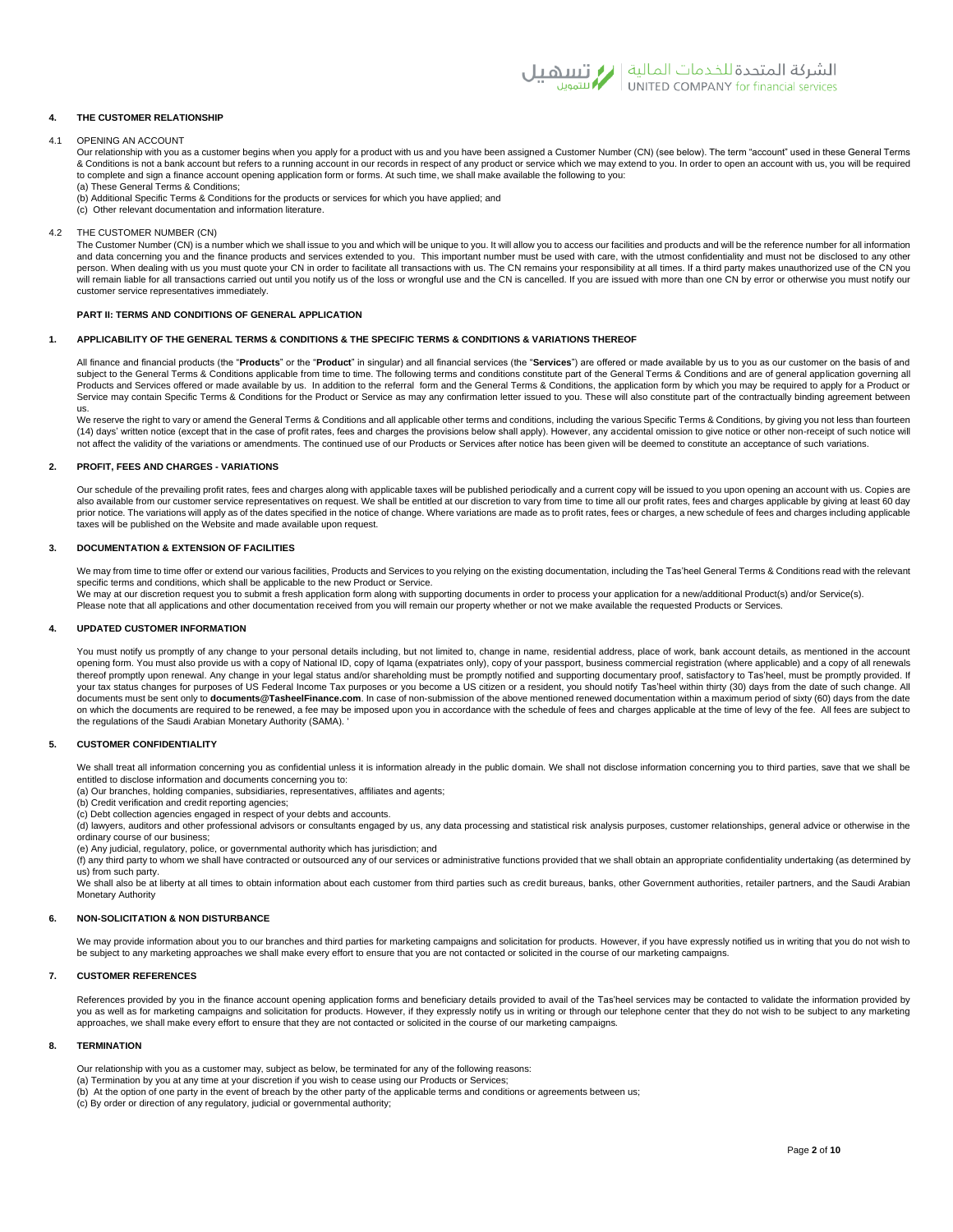

## **4. THE CUSTOMER RELATIONSHIP**

#### 4.1 OPENING AN ACCOUNT

Our relationship with you as a customer begins when you apply for a product with us and you have been assigned a Customer Number (CN) (see below). The term "account" used in these General Terms & Conditions is not a bank account but refers to a running account in our records in respect of any product or service which we may extend to you. In order to open an account with us, you will be required to complete and sign a finance account opening application form or forms. At such time, we shall make available the following to you: (a) These General Terms & Conditions;

- (b) Additional Specific Terms & Conditions for the products or services for which you have applied; and (c) Other relevant documentation and information literature.
- 
- 4.2 THE CUSTOMER NUMBER (CN)

The Customer Number (CN) is a number which we shall issue to you and which will be unique to you. It will allow you to access our facilities and products and will be the reference number for all information and data concerning you and the finance products and services extended to you. This important number must be used with care, with the utmost confidentiality and must not be disclosed to any other<br>person. When dealing with will remain liable for all transactions carried out until you notify us of the loss or wrongful use and the CN is cancelled. If you are issued with more than one CN by error or otherwise you must notify our customer service representatives immediately.

## **PART II: TERMS AND CONDITIONS OF GENERAL APPLICATION**

## **1. APPLICABILITY OF THE GENERAL TERMS & CONDITIONS & THE SPECIFIC TERMS & CONDITIONS & VARIATIONS THEREOF**

All finance and financial products (the "**Products**" or the "**Product**" in singular) and all financial services (the "**Services**") are offered or made available by us to you as our customer on the basis of and subject to the General Terms & Conditions applicable from time to time. The following terms and conditions constitute part of the General Terms & Conditions and are of general application governing all Products and Services offered or made available by us. In addition to the referral form and the General Terms & Conditions, the application form by which you may be required to apply for a Product or Service may contain Specific Terms & Conditions for the Product or Service as may any confirmation letter issued to you. These will also constitute part of the contractually binding agreement between us.

We reserve the right to vary or amend the General Terms & Conditions and all applicable other terms and conditions, including the various Specific Terms & Conditions, by giving you not less than fourteen (14) days' written notice (except that in the case of profit rates, fees and charges the provisions below shall apply). However, any accidental omission to give notice or other non-receipt of such notice will not affect the validity of the variations or amendments. The continued use of our Products or Services after notice has been given will be deemed to constitute an acceptance of such variations.

## **2. PROFIT, FEES AND CHARGES - VARIATIONS**

Our schedule of the prevailing profit rates, fees and charges along with applicable taxes will be published periodically and a current copy will be issued to you upon opening an account with us. Copies are also available from our customer service representatives on request. We shall be entitled at our discretion to vary from time to time all our profit rates, fees and charges applicable by giving at least 60 day prior notice. The variations will apply as of the dates specified in the notice of change. Where variations are made as to profit rates, fees or charges, a new schedule of fees and charges including applicable taxes will be published on the Website and made available upon request.

## **3. DOCUMENTATION & EXTENSION OF FACILITIES**

We may from time to time offer or extend our various facilities, Products and Services to you relying on the existing documentation, including the Tas'heel General Terms & Conditions read with the relevant specific terms and conditions, which shall be applicable to the new Product or Service. We may at our discretion request you to submit a fresh application form along with supporting documents in order to process your application for a new/additional Product(s) and/or Service(s).

Please note that all applications and other documentation received from you will remain our property whether or not we make available the requested Products or Services

## **4. UPDATED CUSTOMER INFORMATION**

You must notify us promptly of any change to your personal details including, but not limited to, change in name, residential address, place of work, bank account details, as mentioned in the account opening form. You must also provide us with a copy of National ID, copy of Iqama (expatriates only), copy of your passport, business commercial registration (where applicable) and a copy of all renewals thereof promptly upon renewal. Any change in your legal status and/or shareholding must be promptly notified and supporting documentary proof, satisfactory to Tas'heel, must be promptly provided. If your tax status changes for purposes of US Federal Income Tax purposes or you become a US citizen or a resident, you should notify Tas'heel within thirty (30) days from the date of such change. All documents must be sent only to **documents@TasheelFinance.com**. In case of non-submission of the above mentioned renewed documentation within a maximum period of sixty (60) days from the date on which the documents are required to be renewed, a fee may be imposed upon you in accordance with the schedule of fees and charges applicable at the time of levy of the fee. All fees are subject to the regulations of the Saudi Arabian Monetary Authority (SAMA). '

## **5. CUSTOMER CONFIDENTIALITY**

We shall treat all information concerning you as confidential unless it is information already in the public domain. We shall not disclose information concerning you to third parties, save that we shall be entitled to disclose information and documents concerning you to:

(a) Our branches, holding companies, subsidiaries, representatives, affiliates and agents;

(b) Credit verification and credit reporting agencies;

(c) Debt collection agencies engaged in respect of your debts and accounts.

(d) lawyers, auditors and other professional advisors or consultants engaged by us, any data processing and statistical risk analysis purposes, customer relationships, general advice or otherwise in the ordinary course of our business;

(e) Any judicial, regulatory, police, or governmental authority which has jurisdiction; and

 $(f)$  any third party to whom we shall have contracted or outsourced any of our services or administrative functions provided that we shall obtain an appropriate confidentiality undertaking (as determined by us) from such party.

We shall also be at liberty at all times to obtain information about each customer from third parties such as credit bureaus, banks, other Government authorities, retailer partners, and the Saudi Arabian Monetary Authority

## **6. NON-SOLICITATION & NON DISTURBANCE**

We may provide information about you to our branches and third parties for marketing campaigns and solicitation for products. However, if you have expressly notified us in writing that you do not wish to be subject to any marketing approaches we shall make every effort to ensure that you are not contacted or solicited in the course of our marketing campaigns.

## **7. CUSTOMER REFERENCES**

References provided by you in the finance account opening application forms and beneficiary details provided to avail of the Tas'heel services may be contacted to validate the information provided by you as well as for marketing campaigns and solicitation for products. However, if they expressly notify us in writing or through our telephone center that they do not wish to be subject to any marketing approaches, we shall make every effort to ensure that they are not contacted or solicited in the course of our marketing campaigns.

#### **8. TERMINATION**

Our relationship with you as a customer may, subject as below, be terminated for any of the following reasons:

(a) Termination by you at any time at your discretion if you wish to cease using our Products or Services;

(b) At the option of one party in the event of breach by the other party of the applicable terms and conditions or agreements between us;

(c) By order or direction of any regulatory, judicial or governmental authority;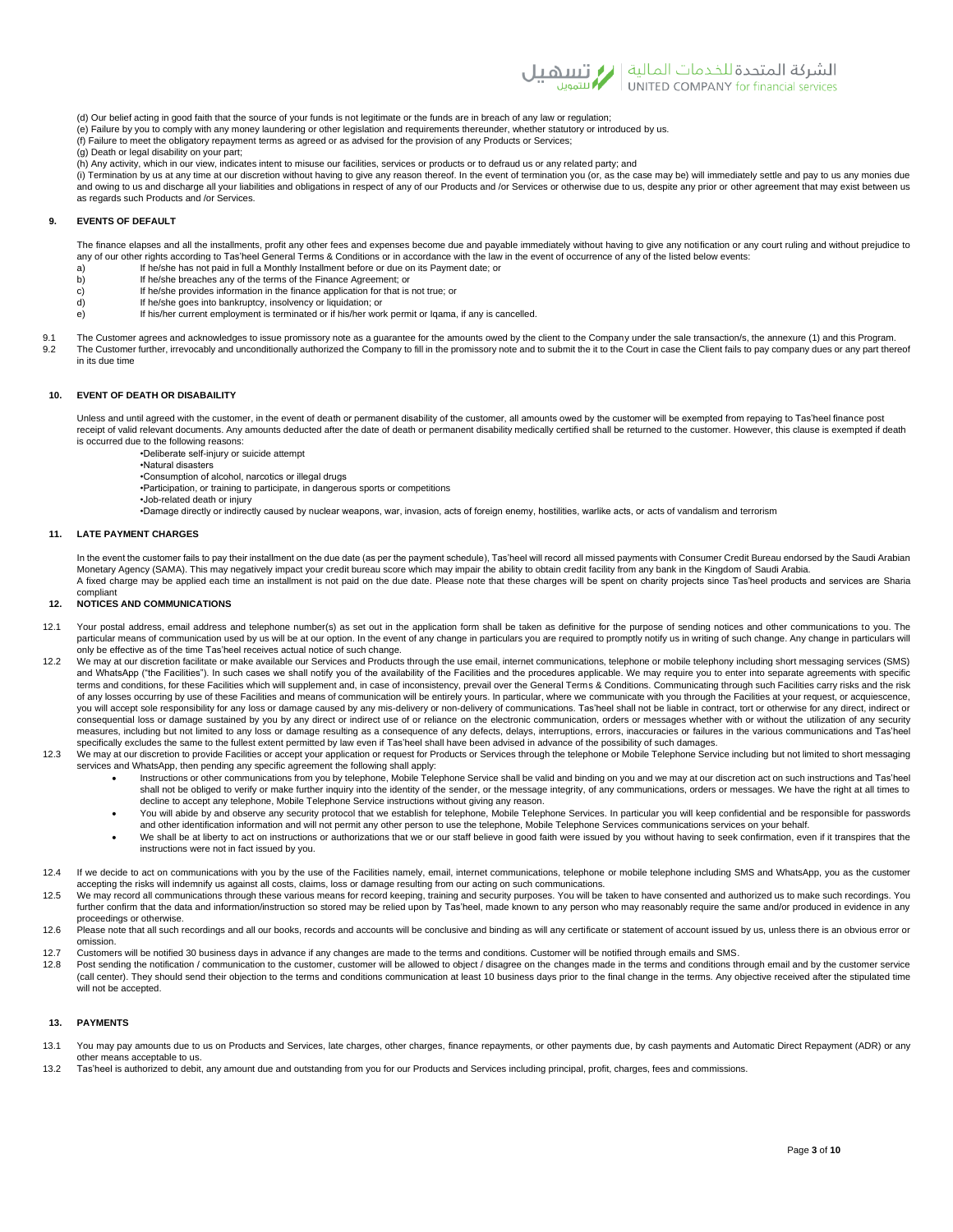

(d) Our belief acting in good faith that the source of your funds is not legitimate or the funds are in breach of any law or regulation;<br>(e) Failure by you to comply with any money laundering or other legislation and requi

- 
- (f) Failure to meet the obligatory repayment terms as agreed or as advised for the provision of any Products or Services;
- (g) Death or legal disability on your part;
- (h) Any activity, which in our view, indicates intent to misuse our facilities, services or products or to defraud us or any related party; and

(i) Termination by us at any time at our discretion without having to give any reason thereof. In the event of termination you (or, as the case may be) will immediately settle and pay to us any monies due and owing to us and discharge all your liabilities and obligations in respect of any of our Products and /or Services or otherwise due to us, despite any prior or other agreement that may exist between us as regards such Products and /or Services.

# **9. EVENTS OF DEFAULT**

The finance elapses and all the installments, profit any other fees and expenses become due and payable immediately without having to give any notification or any court ruling and without prejudice to any of our other rights according to Tas'heel General Terms & Conditions or in accordance with the law in the event of occurrence of any of the listed below events:

- a) If he/she has not paid in full a Monthly Installment before or due on its Payment date; or<br>b) If he/she breaches any of the terms of the Finance Agreement; or
	- If he/she breaches any of the terms of the Finance Agreement; or
- c) If he/she provides information in the finance application for that is not true; or<br>
d) If he/she goes into bankruptcy, insolvency or liquidation: or
- If he/she goes into bankruptcy, insolvency or liquidation; or e) If his/her current employment is terminated or if his/her work permit or Iqama, if any is cancelled.
- 
- 9.1 The Customer agrees and acknowledges to issue promissory note as a guarantee for the amounts owed by the client to the Company under the sale transaction/s, the annexure (1) and this Program.<br>The Customer further irrev The Customer further, irrevocably and unconditionally authorized the Company to fill in the promissory note and to submit the it to the Court in case the Client fails to pay company dues or any part thereof in its due time

# **10. EVENT OF DEATH OR DISABAILITY**

Unless and until agreed with the customer, in the event of death or permanent disability of the customer, all amounts owed by the customer will be exempted from repaying to Tas'heel finance post receipt of valid relevant documents. Any amounts deducted after the date of death or permanent disability medically certified shall be returned to the customer. However, this clause is exempted if death is occurred due to the following reasons:

- •Deliberate self-injury or suicide attempt
	- •Natural disasters
	- •Consumption of alcohol, narcotics or illegal drugs
	- •Participation, or training to participate, in dangerous sports or competitions
	- •Job-related death or injury
	- •Damage directly or indirectly caused by nuclear weapons, war, invasion, acts of foreign enemy, hostilities, warlike acts, or acts of vandalism and terrorism

## **11. LATE PAYMENT CHARGES**

compliant

In the event the customer fails to pay their installment on the due date (as per the payment schedule), Tas'heel will record all missed payments with Consumer Credit Bureau endorsed by the Saudi Arabian Monetary Agency (SAMA). This may negatively impact your credit bureau score which may impair the ability to obtain credit facility from any bank in the Kingdom of Saudi Arabia. A fixed charge may be applied each time an installment is not paid on the due date. Please note that these charges will be spent on charity projects since Tas'heel products and services are Sharia

#### **12. NOTICES AND COMMUNICATIONS**

- 12.1 Your postal address, email address and telephone number(s) as set out in the application form shall be taken as definitive for the purpose of sending notices and other communications to you. The particular means of communication used by us will be at our option. In the event of any change in particulars you are required to promptly notify us in writing of such change. Any change in particulars will only be effective as of the time Tas'heel receives actual notice of such change.
- 12.2 We may at our discretion facilitate or make available our Services and Products through the use email, internet communications, telephone or mobile telephony including short messaging services (SMS) and WhatsApp ("the Facilities"). In such cases we shall notify you of the availability of the Facilities and the procedures applicable. We may require you to enter into separate agreements with specific terms and conditions, for these Facilities which will supplement and, in case of inconsistency, prevail over the General Terms & Conditions. Communicating through such Facilities carry risks and the risk of any losses occurring by use of these Facilities and means of communication will be entirely yours. In particular, where we communicate with you through the Facilities at your request, or acquiescence, you will accept sole responsibility for any loss or damage caused by any mis-delivery or non-delivery of communications. Tas'heel shall not be liable in contract, tort or otherwise for any direct, indirect or consequential loss or damage sustained by you by any direct or indirect use of or reliance on the electronic communication, orders or messages whether with or without the utilization of any security measures, including but not limited to any loss or damage resulting as a consequence of any defects, delays, interruptions, errors, inaccuracies or failures in the various communications and Tas'heel specifically excludes the same to the fullest extent permitted by law even if Tas'heel shall have been advised in advance of the possibility of such damages.
- 12.3 We may at our discretion to provide Facilities or accept your application or request for Products or Services through the telephone or Mobile Telephone Service including but not limited to short messaging services and WhatsApp, then pending any specific agreement the following shall apply:
	- Instructions or other communications from you by telephone, Mobile Telephone Service shall be valid and binding on you and we may at our discretion act on such instructions and Tas'heel shall not be obliged to verify or make further inquiry into the identity of the sender, or the message integrity, of any communications, orders or messages. We have the right at all times to decline to accept any telephone, Mobile Telephone Service instructions without giving any reason.
	- You will abide by and observe any security protocol that we establish for telephone, Mobile Telephone Services. In particular you will keep confidential and be responsible for passwords and other identification information and will not permit any other person to use the telephone, Mobile Telephone Services communications services on your behalf.
	- We shall be at liberty to act on instructions or authorizations that we or our staff believe in good faith were issued by you without having to seek confirmation, even if it transpires that the instructions were not in fact issued by you.
- 12.4 If we decide to act on communications with you by the use of the Facilities namely, email, internet communications, telephone or mobile telephone including SMS and WhatsApp, you as the customer accepting the risks will indemnify us against all costs, claims, loss or damage resulting from our acting on such communications.
- 12.5 We may record all communications through these various means for record keeping, training and security purposes. You will be taken to have consented and authorized us to make such recordings. You further confirm that the data and information/instruction so stored may be relied upon by Tas'heel, made known to any person who may reasonably require the same and/or produced in evidence in any proceedings or otherwise.
- 12.6 Please note that all such recordings and all our books, records and accounts will be conclusive and binding as will any certificate or statement of account issued by us, unless there is an obvious error or omission.
- 12.7 Customers will be notified 30 business days in advance if any changes are made to the terms and conditions. Customer will be notified through emails and SMS.<br>12.8 Post sending the notification / communication to the c
- Post sending the notification / communication to the customer, customer will be allowed to object / disagree on the changes made in the terms and conditions through email and by the customer service (call center). They should send their objection to the terms and conditions communication at least 10 business days prior to the final change in the terms. Any objective received after the stipulated time will not be accepted.

## **13. PAYMENTS**

- 13.1 You may pay amounts due to us on Products and Services, late charges, other charges, finance repayments, or other payments due, by cash payments and Automatic Direct Repayment (ADR) or any other means acceptable to us.
- 13.2 Tas'heel is authorized to debit, any amount due and outstanding from you for our Products and Services including principal, profit, charges, fees and commissions.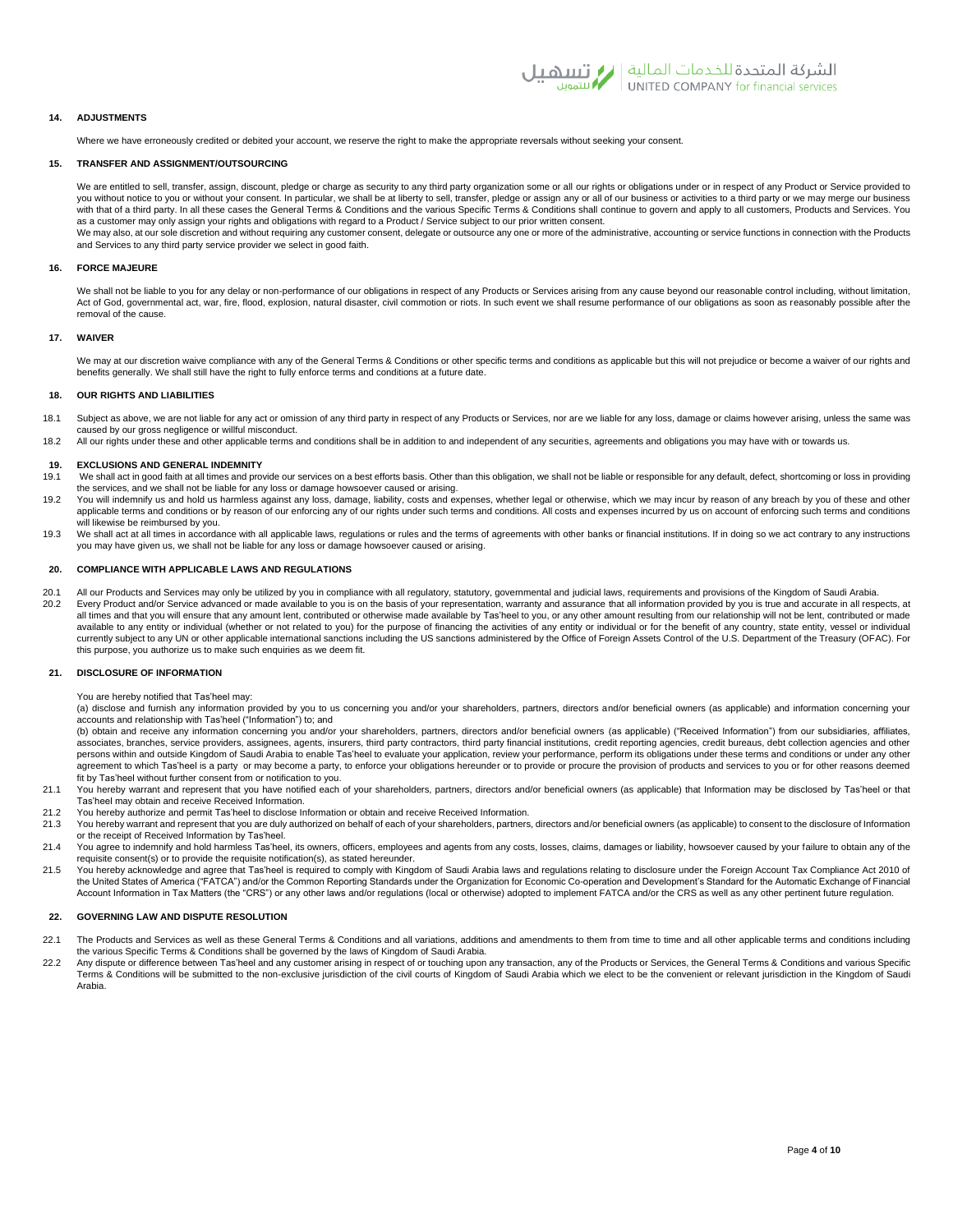

# **14. ADJUSTMENTS**

Where we have erroneously credited or debited your account, we reserve the right to make the appropriate reversals without seeking your consent.

## **15. TRANSFER AND ASSIGNMENT/OUTSOURCING**

We are entitled to sell, transfer, assign, discount, pledge or charge as security to any third party organization some or all our rights or obligations under or in respect of any Product or Service provided to you without notice to you or without your consent. In particular, we shall be at liberty to sell, transfer, pledge or assign any or all of our business or activities to a third party or we may merge our business with that of a third party. In all these cases the General Terms & Conditions and the various Specific Terms & Conditions shall continue to govern and apply to all customers, Products and Services. You as a customer may only assign your rights and obligations with regard to a Product / Service subject to our prior written consent. We may also, at our sole discretion and without requiring any customer consent, delegate or outsource any one or more of the administrative, accounting or service functions in connection with the Products

and Services to any third party service provider we select in good faith.

# **16. FORCE MAJEURE**

We shall not be liable to you for any delay or non-performance of our obligations in respect of any Products or Services arising from any cause beyond our reasonable control including, without limitation, Act of God, governmental act, war, fire, flood, explosion, natural disaster, civil commotion or riots. In such event we shall resume performance of our obligations as soon as reasonably possible after the removal of the cause.

## **17. WAIVER**

We may at our discretion waive compliance with any of the General Terms & Conditions or other specific terms and conditions as applicable but this will not prejudice or become a waiver of our rights and benefits generally. We shall still have the right to fully enforce terms and conditions at a future date.

## **18. OUR RIGHTS AND LIABILITIES**

- 18.1 Subject as above, we are not liable for any act or omission of any third party in respect of any Products or Services, nor are we liable for any loss, damage or claims however arising, unless the same was caused by our gross negligence or willful misconduct.
- 18.2 All our rights under these and other applicable terms and conditions shall be in addition to and independent of any securities, agreements and obligations you may have with or towards us.

# **19. EXCLUSIONS AND GENERAL INDEMNITY**

- We shall act in good faith at all times and provide our services on a best efforts basis. Other than this obligation, we shall not be liable or responsible for any default, defect, shortcoming or loss in providing the services, and we shall not be liable for any loss or damage howsoever caused or arising.
- 19.2 You will indemnify us and hold us harmless against any loss, damage, liability, costs and expenses, whether legal or otherwise, which we may incur by reason of any breach by you of these and other applicable terms and conditions or by reason of our enforcing any of our rights under such terms and conditions. All costs and expenses incurred by us on account of enforcing such terms and conditions or by reason of our r will likewise be reimbursed by you.
- 19.3 We shall act at all times in accordance with all applicable laws, regulations or rules and the terms of agreements with other banks or financial institutions. If in doing so we act contrary to any instructions you may have given us, we shall not be liable for any loss or damage howsoever caused or arising.

#### **20. COMPLIANCE WITH APPLICABLE LAWS AND REGULATIONS**

20.1 All our Products and Services may only be utilized by you in compliance with all regulatory, statutory, governmental and judicial laws, requirements and provisions of the Kingdom of Saudi Arabia.<br>20.2 Every Product an

Every Product and/or Service advanced or made available to you is on the basis of your representation, warranty and assurance that all information provided by you is true and accurate in all respects, at all times and that you will ensure that any amount lent, contributed or otherwise made available by Tas'heel to you, or any other amount resulting from our relationship will not be lent, contributed or made available to any entity or individual (whether or not related to you) for the purpose of financing the activities of any entity or individual or for the benefit of any country, state entity, vessel or individual currently subject to any UN or other applicable international sanctions including the US sanctions administered by the Office of Foreign Assets Control of the U.S. Department of the Treasury (OFAC). For this purpose, you authorize us to make such enquiries as we deem fit.

## **21. DISCLOSURE OF INFORMATION**

#### You are hereby notified that Tas'heel may:

(a) disclose and furnish any information provided by you to us concerning you and/or your shareholders, partners, directors and/or beneficial owners (as applicable) and information concerning your accounts and relationship with Tas'heel ("Information") to; and

(b) obtain and receive any information concerning you and/or your shareholders, partners, directors and/or beneficial owners (as applicable) ("Received Information") from our subsidiaries, affiliates, associates, branches, service providers, assignees, agents, insurers, third party contractors, third party financial institutions, credit reporting agencies, credit bureaus, debt collection agencies and other persons within and outside Kingdom of Saudi Arabia to enable Tas'heel to evaluate your application, review your performance, perform its obligations under these terms and conditions or under any other agreement to which Tas'heel is a party or may become a party, to enforce your obligations hereunder or to provide or procure the provision of products and services to you or for other reasons deemed fit by Tas'heel without further consent from or notification to you.

- 21.1 You hereby warrant and represent that you have notified each of your shareholders, partners, directors and/or beneficial owners (as applicable) that Information may be disclosed by Tas'heel or that Tas'heel may obtain and receive Received Information.
- 21.2 You hereby authorize and permit Tas'heel to disclose Information or obtain and receive Received Information.
- 21.3 You hereby warrant and represent that you are duly authorized on behalf of each of your shareholders, partners, directors and/or beneficial owners (as applicable) to consent to the disclosure of Information or the receipt of Received Information by Tas'heel.
- 21.4 You agree to indemnify and hold harmless Tas'heel, its owners, officers, employees and agents from any costs, losses, claims, damages or liability, howsoever caused by your failure to obtain any of the requisite consent(s) or to provide the requisite notification(s), as stated hereunder.
- 21.5 You hereby acknowledge and agree that Tas'heel is required to comply with Kingdom of Saudi Arabia laws and regulations relating to disclosure under the Foreign Account Tax Compliance Act 2010 of the United States of America ("FATCA") and/or the Common Reporting Standards under the Organization for Economic Co-operation and Development's Standard for the Automatic Exchange of Financial Account Information in Tax Matters (the "CRS") or any other laws and/or regulations (local or otherwise) adopted to implement FATCA and/or the CRS as well as any other pertinent future regulation.

## **22. GOVERNING LAW AND DISPUTE RESOLUTION**

- 22.1 The Products and Services as well as these General Terms & Conditions and all variations, additions and amendments to them from time to time and all other applicable terms and conditions including the various Specific Terms & Conditions shall be governed by the laws of Kingdom of Saudi Arabia.
- 22.2 Any dispute or difference between Tas'heel and any customer arising in respect of or touching upon any transaction, any of the Products or Services, the General Terms & Conditions and various Specific Terms & Conditions will be submitted to the non-exclusive jurisdiction of the civil courts of Kingdom of Saudi Arabia which we elect to be the convenient or relevant jurisdiction in the Kingdom of Saudi Arabia.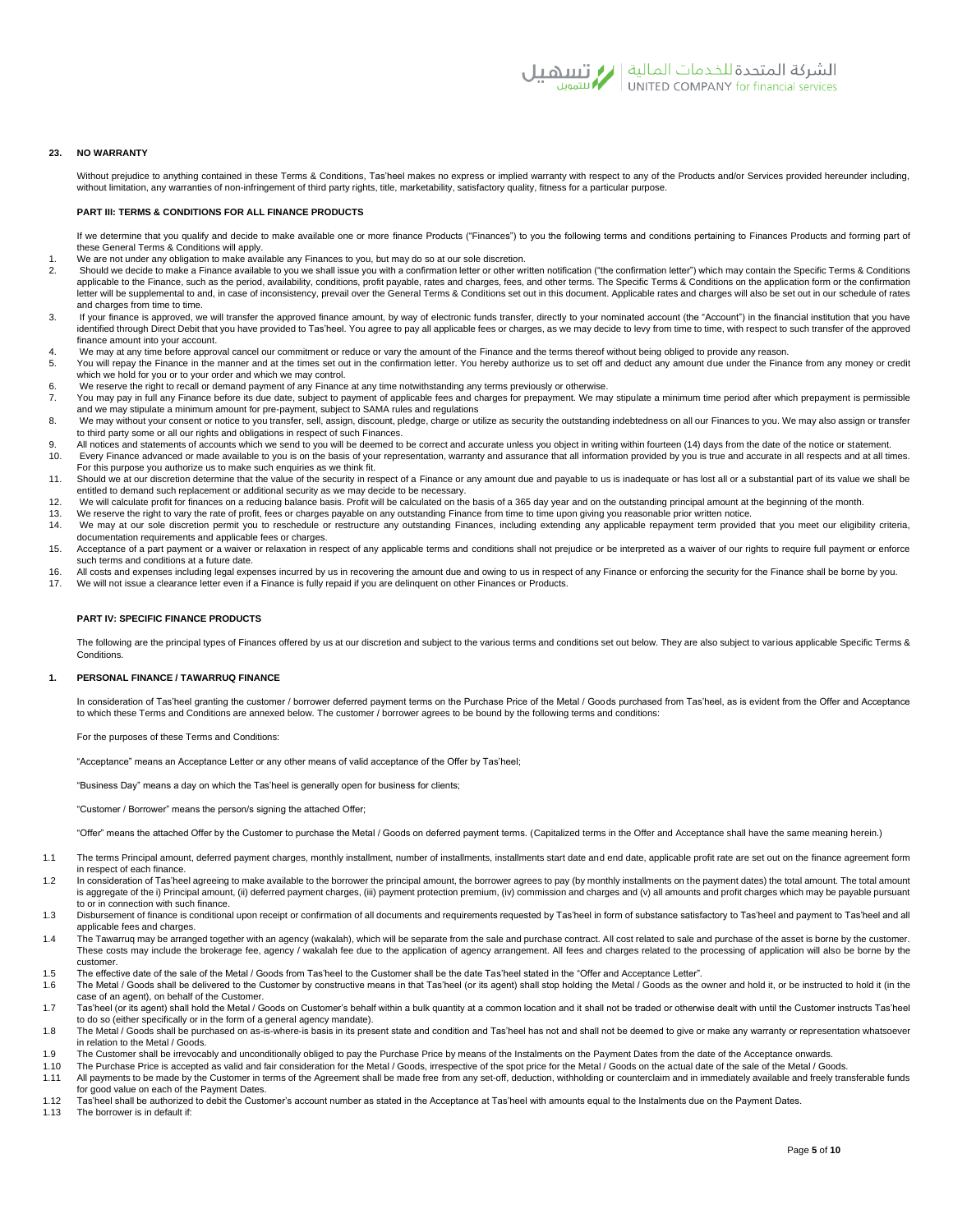

## **23. NO WARRANTY**

Without prejudice to anything contained in these Terms & Conditions, Tas'heel makes no express or implied warranty with respect to any of the Products and/or Services provided hereunder including, without limitation, any warranties of non-infringement of third party rights, title, marketability, satisfactory quality, fitness for a particular purpose.

# **PART III: TERMS & CONDITIONS FOR ALL FINANCE PRODUCTS**

If we determine that you qualify and decide to make available one or more finance Products ("Finances") to you the following terms and conditions pertaining to Finances Products and forming part of these General Terms & Conditions will apply.

- 1. We are not under any obligation to make available any Finances to you, but may do so at our sole discretion.<br>2. Should we decide to make a Finance available to you we shall issue you with a confirmation letter or other
- 2. Should we decide to make a Finance available to you we shall issue you with a confirmation letter or other written notification ("the confirmation letter") which may contain the Specific Terms & Conditions applicable to the Finance, such as the period, availability, conditions, profit payable, rates and charges, fees, and other terms. The Specific Terms & Conditions on the application form or the confirmation letter will be supplemental to and, in case of inconsistency, prevail over the General Terms & Conditions set out in this document. Applicable rates and charges will also be set out in our schedule of rates and charges from time to time.
- 3. If your finance is approved, we will transfer the approved finance amount, by way of electronic funds transfer, directly to your nominated account (the "Account") in the financial institution that you have identified through Direct Debit that you have provided to Tas'heel. You agree to pay all applicable fees or charges, as we may decide to levy from time to time, with respect to such transfer of the approved finance amount into your account.
- 4. We may at any time before approval cancel our commitment or reduce or vary the amount of the Finance and the terms thereof without being obliged to provide any reason.
- 5. You will repay the Finance in the manner and at the times set out in the confirmation letter. You hereby authorize us to set off and deduct any amount due under the Finance from any money or credit which we hold for you or to your order and which we may control.
- We reserve the right to recall or demand payment of any Finance at any time notwithstanding any terms previously or otherwise.
- 7. You may pay in full any Finance before its due date, subject to payment of applicable fees and charges for prepayment. We may stipulate a minimum time period after which prepayment is permissible and we may stipulate a minimum amount for pre-payment, subject to SAMA rules and regulations
- 8. We may without your consent or notice to you transfer, sell, assign, discount, pledge, charge or utilize as security the outstanding indebtedness on all our Finances to you. We may also assign or transfer to third party some or all our rights and obligations in respect of such Finances.
- 9. All notices and statements of accounts which we send to you will be deemed to be correct and accurate unless you object in writing within fourteen (14) days from the date of the notice or statement.<br>10. Every Finance ad Every Finance advanced or made available to you is on the basis of your representation, warranty and assurance that all information provided by you is true and accurate in all respects and at all times.
- For this purpose you authorize us to make such enquiries as we think fit. 11. Should we at our discretion determine that the value of the security in respect of a Finance or any amount due and payable to us is inadequate or has lost all or a substantial part of its value we shall be
- entitled to demand such replacement or additional security as we may decide to be necessary. We will calculate profit for finances on a reducing balance basis. Profit will be calculated on the basis of a 365 day year and on the outstanding principal amount at the beginning of the month.<br>13. We reserve the right to
- We reserve the right to vary the rate of profit, fees or charges payable on any outstanding Finance from time to time upon giving you reasonable prior written notice.
- 14. We may at our sole discretion permit you to reschedule or restructure any outstanding Finances, including extending any applicable repayment term provided that you meet our eligibility criteria, documentation requirements and applicable fees or charges.
- 15. Acceptance of a part payment or a waiver or relaxation in respect of any applicable terms and conditions shall not prejudice or be interpreted as a waiver of our rights to require full payment or enforce such terms and conditions at a future date.
- 16. All costs and expenses including legal expenses incurred by us in recovering the amount due and owing to us in respect of any Finance or enforcing the security for the Finance shall be borne by you. We will not issue a clearance letter even if a Finance is fully repaid if you are delinquent on other Finances or Products.

#### **PART IV: SPECIFIC FINANCE PRODUCTS**

The following are the principal types of Finances offered by us at our discretion and subject to the various terms and conditions set out below. They are also subject to various applicable Specific Terms & **Conditions** 

## **1. PERSONAL FINANCE / TAWARRUQ FINANCE**

In consideration of Tas'heel granting the customer / borrower deferred payment terms on the Purchase Price of the Metal / Goods purchased from Tas'heel, as is evident from the Offer and Acceptance to which these Terms and Conditions are annexed below. The customer / borrower agrees to be bound by the following terms and conditions:

For the purposes of these Terms and Conditions:

"Acceptance" means an Acceptance Letter or any other means of valid acceptance of the Offer by Tas'heel;

"Business Day" means a day on which the Tas'heel is generally open for business for clients;

"Customer / Borrower" means the person/s signing the attached Offer;

"Offer" means the attached Offer by the Customer to purchase the Metal / Goods on deferred payment terms. (Capitalized terms in the Offer and Acceptance shall have the same meaning herein.)

- 1.1 The terms Principal amount, deferred payment charges, monthly installment, number of installments, installments start date and end date, applicable profit rate are set out on the finance agreement form in respect of each finance.
- 1.2 In consideration of Tas'heel agreeing to make available to the borrower the principal amount, the borrower agrees to pay (by monthly installments on the payment dates) the total amount. The total amount is aggregate of the i) Principal amount, (ii) deferred payment charges, (iii) payment protection premium, (iv) commission and charges and (v) all amounts and profit charges which may be payable pursuant to or in connection with such finance.
- 1.3 Disbursement of finance is conditional upon receipt or confirmation of all documents and requirements requested by Tas'heel in form of substance satisfactory to Tas'heel and payment to Tas'heel and all applicable fees and charges.
- 1.4 The Tawarruq may be arranged together with an agency (wakalah), which will be separate from the sale and purchase contract. All cost related to sale and purchase of the asset is borne by the customer. These costs may include the brokerage fee, agency / wakalah fee due to the application of agency arrangement. All fees and charges related to the processing of application will also be borne by the customer.
- 1.5 The effective date of the sale of the Metal / Goods from Tas'heel to the Customer shall be the date Tas'heel stated in the "Offer and Acceptance Letter".
- 1.6 The Metal / Goods shall be delivered to the Customer by constructive means in that Tas'heel (or its agent) shall stop holding the Metal / Goods as the owner and hold it, or be instructed to hold it (in the case of an agent), on behalf of the Customer.
- 1.7 Tas'heel (or its agent) shall hold the Metal / Goods on Customer's behalf within a bulk quantity at a common location and it shall not be traded or otherwise dealt with until the Customer instructs Tas'heel to do so (either specifically or in the form of a general agency mandate).
- 1.8 The Metal / Goods shall be purchased on as-is-where-is basis in its present state and condition and Tas'heel has not and shall not be deemed to give or make any warranty or representation whatsoever in relation to the Metal / Goods.
- 1.9 The Customer shall be irrevocably and unconditionally obliged to pay the Purchase Price by means of the Instalments on the Payment Dates from the date of the Acceptance onwards.<br>1.10 The Purchase Price is accepted as v
- The Purchase Price is accepted as valid and fair consideration for the Metal / Goods, irrespective of the spot price for the Metal / Goods on the actual date of the sale of the Metal / Goods.
- 1.11 All payments to be made by the Customer in terms of the Agreement shall be made free from any set-off, deduction, withholding or counterclaim and in immediately available and freely transferable funds for good value on each of the Payment Dates.
- 1.12 Tas'heel shall be authorized to debit the Customer's account number as stated in the Acceptance at Tas'heel with amounts equal to the Instalments due on the Payment Dates.
- 1.13 The borrower is in default if: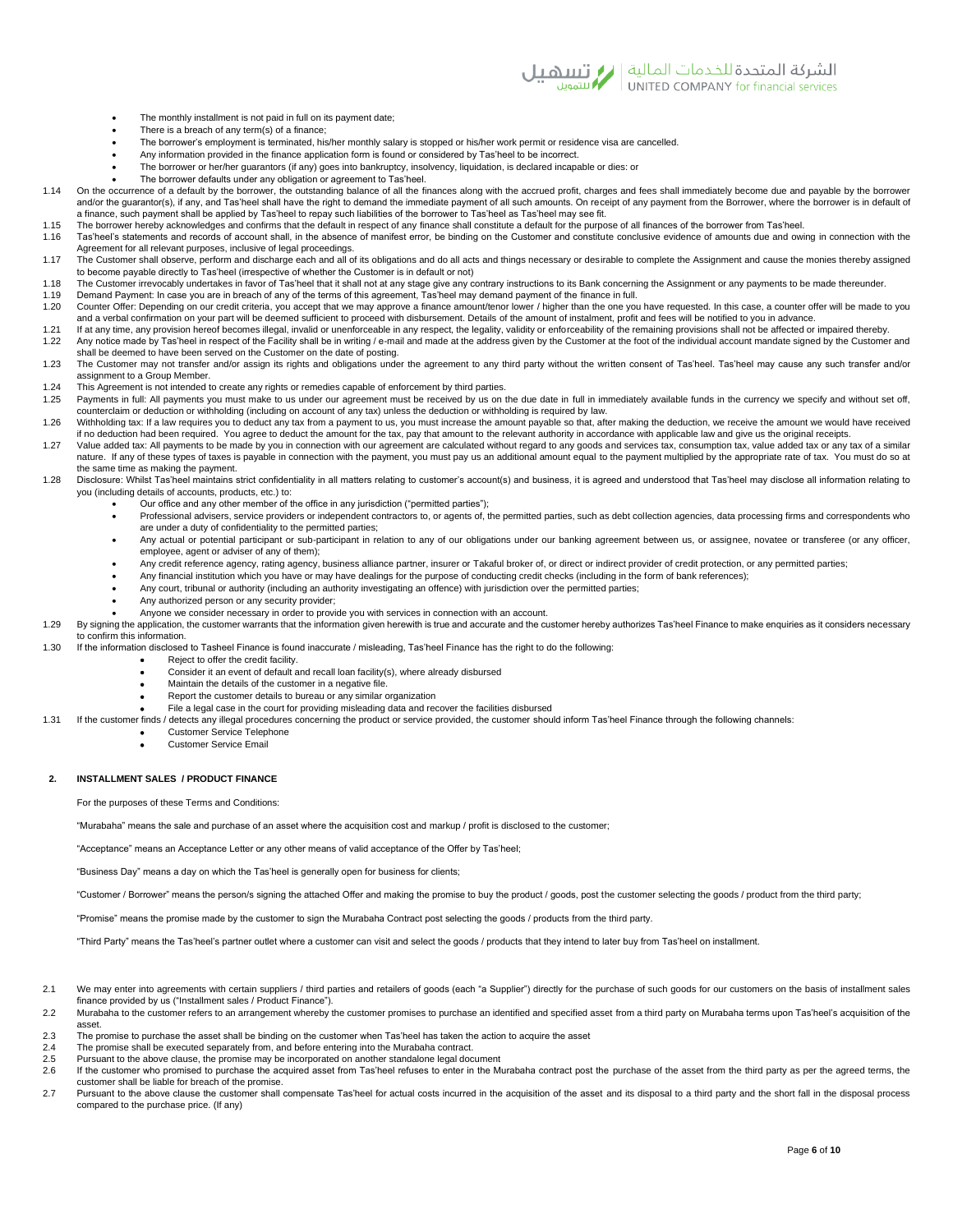

- The monthly installment is not paid in full on its payment date;
- There is a breach of any term(s) of a finance;
- The borrower's employment is terminated, his/her monthly salary is stopped or his/her work permit or residence visa are cancelled.
- Any information provided in the finance application form is found or considered by Tas'heel to be incorrect.
- The borrower or her/her guarantors (if any) goes into bankruptcy, insolvency, liquidation, is declared incapable or dies: or
- The borrower defaults under any obligation or agreement to Tas'heel.

1.14 On the occurrence of a default by the borrower, the outstanding balance of all the finances along with the accrued profit, charges and fees shall immediately become due and payable by the borrower and/or the quarantor(s), if any, and Tas'heel shall have the right to demand the immediate payment of all such amounts. On receipt of any payment from the Borrower, where the borrower is in default of a finance, such payment shall be applied by Tas'heel to repay such liabilities of the borrower to Tas'heel as Tas'heel may see fit.

- 1.15 The borrower hereby acknowledges and confirms that the default in respect of any finance shall constitute a default for the purpose of all finances of the borrower from Tas'heel.<br>1.16 Tas'heel's statements and records
- Tas'heel's statements and records of account shall, in the absence of manifest error, be binding on the Customer and constitute conclusive evidence of amounts due and owing in connection with the Agreement for all relevant purposes, inclusive of legal proceedings.
- 1.17 The Customer shall observe, perform and discharge each and all of its obligations and do all acts and things necessary or desirable to complete the Assignment and cause the monies thereby assigned to become payable directly to Tas'heel (irrespective of whether the Customer is in default or not)
- 1.18 The Customer irrevocably undertakes in favor of Tas'heel that it shall not at any stage give any contrary instructions to its Bank concerning the Assignment or any payments to be made thereunder.
- 1.19 Demand Payment: In case you are in breach of any of the terms of this agreement, Tas'heel may demand payment of the finance in full. Counter Offer: Depending on our credit criteria, you accept that we may approve a finance amount/tenor lower / higher than the one you have requested. In this case, a counter offer will be made to you
- and a verbal confirmation on your part will be deemed sufficient to proceed with disbursement. Details of the amount of instalment, profit and fees will be notified to you in advance.<br>Matter on the legality, validity or en
- 1.22 Any notice made by Tas'heel in respect of the Facility shall be in writing / e-mail and made at the address given by the Customer at the foot of the individual account mandate signed by the Customer and and made at th shall be deemed to have been served on the Customer on the date of posting.
- 1.23 The Customer may not transfer and/or assign its rights and obligations under the agreement to any third party without the written consent of Tas'heel. Tas'heel may cause any such transfer and/or assignment to a Group Member.
- 1.24 This Agreement is not intended to create any rights or remedies capable of enforcement by third parties.<br>1.25 Payments in full: All nayments you must make to us under our agreement must be received by us on t
- Payments in full: All payments you must make to us under our agreement must be received by us on the due date in full in immediately available funds in the currency we specify and without set off, counterclaim or deduction or withholding (including on account of any tax) unless the deduction or withholding is required by law.
- 1.26 Withholding tax: If a law requires you to deduct any tax from a payment to us, you must increase the amount payable so that, after making the deduction, we receive the amount we would have received if no deduction had been required. You agree to deduct the amount for the tax, pay that amount to the relevant authority in accordance with applicable law and give us the original receipts.
- 1.27 Value added tax: All payments to be made by you in connection with our agreement are calculated without regard to any goods and services tax, consumption tax, value added tax or any tax of a similar nature. If any of these types of taxes is payable in connection with the payment, you must pay us an additional amount equal to the payment multiplied by the appropriate rate of tax. You must do so at the same time as making the payment.
- 1.28 Disclosure: Whilst Tas'heel maintains strict confidentiality in all matters relating to customer's account(s) and business, it is agreed and understood that Tas'heel may disclose all information relating to you (including details of accounts, products, etc.) to:
	- Our office and any other member of the office in any jurisdiction ("permitted parties");
	- Professional advisers, service providers or independent contractors to, or agents of, the permitted parties, such as debt collection agencies, data processing firms and correspondents who are under a duty of confidentiality to the permitted parties;
	- Any actual or potential participant or sub-participant in relation to any of our obligations under our banking agreement between us, or assignee, novatee or transferee (or any officer, employee, agent or adviser of any of them);
	- Any credit reference agency, rating agency, business alliance partner, insurer or Takaful broker of, or direct or indirect provider of credit protection, or any permitted parties;
	- Any financial institution which you have or may have dealings for the purpose of conducting credit checks (including in the form of bank references);
	- Any court, tribunal or authority (including an authority investigating an offence) with jurisdiction over the permitted parties;
	- Any authorized person or any security provider;
	- Anyone we consider necessary in order to provide you with services in connection with an account.
- 1.29 By signing the application, the customer warrants that the information given herewith is true and accurate and the customer hereby authorizes Tas'heel Finance to make enquiries as it considers necessary to confirm this information.
- 1.30 If the information disclosed to Tasheel Finance is found inaccurate / misleading, Tas'heel Finance has the right to do the following:
	- Reject to offer the credit facility.
		- Consider it an event of default and recall loan facility(s), where already disbursed
		- Maintain the details of the customer in a negative file.
		- Report the customer details to bureau or any similar organization
		- File a legal case in the court for providing misleading data and recover the facilities disbursed
- 1.31 If the customer finds / detects any illegal procedures concerning the product or service provided, the customer should inform Tas'heel Finance through the following channels:
	- Customer Service Telephone
		- Customer Service Email

# **2. INSTALLMENT SALES / PRODUCT FINANCE**

For the purposes of these Terms and Conditions:

"Murabaha" means the sale and purchase of an asset where the acquisition cost and markup / profit is disclosed to the customer;

"Acceptance" means an Acceptance Letter or any other means of valid acceptance of the Offer by Tas'heel;

"Business Day" means a day on which the Tas'heel is generally open for business for clients;

"Customer / Borrower" means the person/s signing the attached Offer and making the promise to buy the product / goods, post the customer selecting the goods / product from the third party;

"Promise" means the promise made by the customer to sign the Murabaha Contract post selecting the goods / products from the third party.

"Third Party" means the Tas'heel's partner outlet where a customer can visit and select the goods / products that they intend to later buy from Tas'heel on installment.

- 2.1 We may enter into agreements with certain suppliers / third parties and retailers of goods (each "a Supplier") directly for the purchase of such goods for our customers on the basis of installment sales finance provided by us ("Installment sales / Product Finance").
- 2.2 Murabaha to the customer refers to an arrangement whereby the customer promises to purchase an identified and specified asset from a third party on Murabaha terms upon Tas'heel's acquisition of the asset.
- 2.3 The promise to purchase the asset shall be binding on the customer when Tas'heel has taken the action to acquire the asset 2.4 The promise shall be executed separately from and before entering into the Murabaha contrac
- 2.4 The promise shall be executed separately from, and before entering into the Murabaha contract.<br>2.5 Pursuant to the above clause, the promise may be incorporated on another standalone legal doct
- Pursuant to the above clause, the promise may be incorporated on another standalone legal document
- 2.6 If the customer who promised to purchase the acquired asset from Tas'heel refuses to enter in the Murabaha contract post the purchase of the asset from the third party as per the agreed terms, the customer shall be liable for breach of the promise.
- 2.7 Pursuant to the above clause the customer shall compensate Tas'heel for actual costs incurred in the acquisition of the asset and its disposal to a third party and the short fall in the disposal process compared to the purchase price. (If any)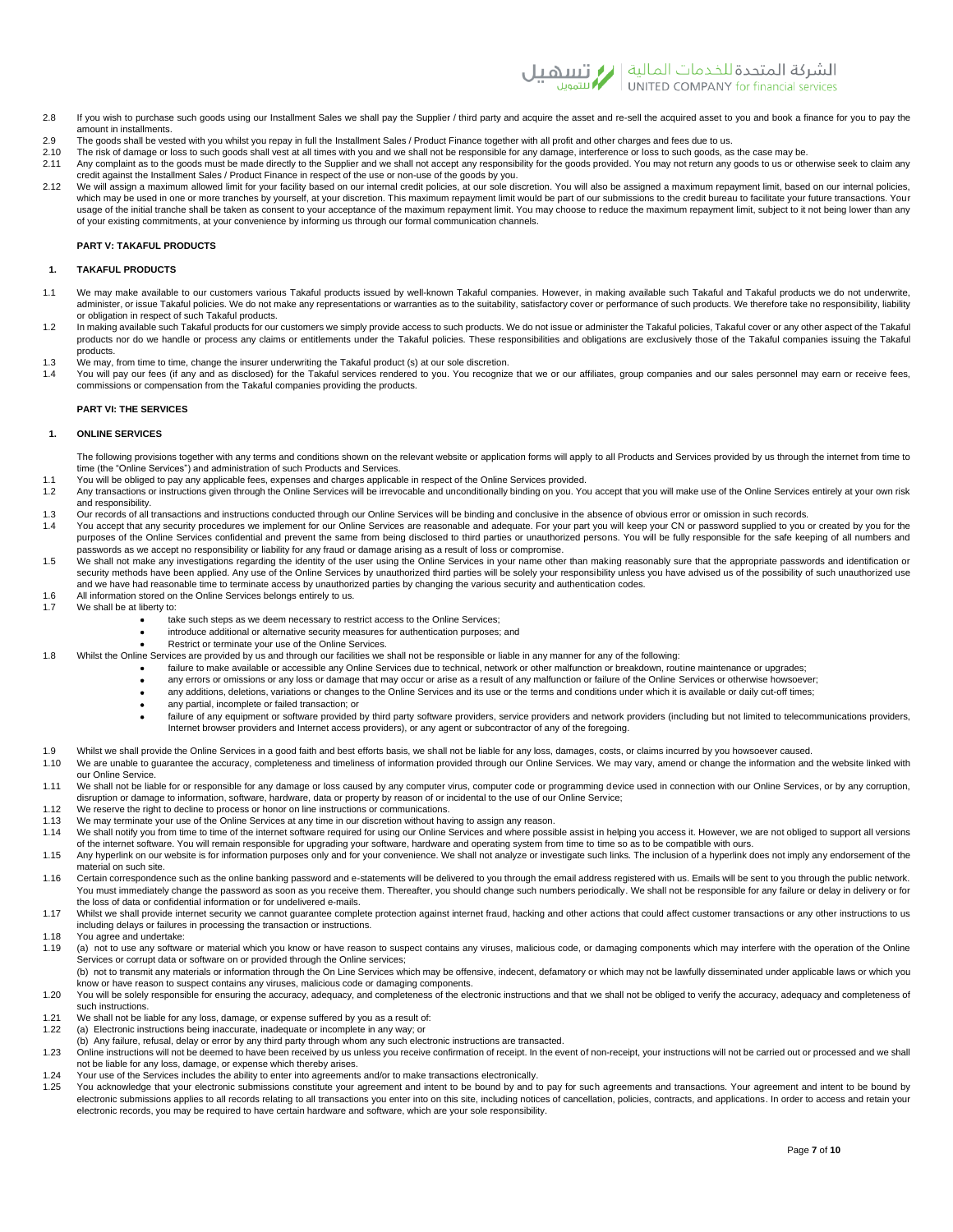

- 2.8 If you wish to purchase such goods using our Installment Sales we shall pay the Supplier / third party and acquire the asset and re-sell the acquired asset to you and book a finance for you to pay the amount in installments.
- 2.9 The goods shall be vested with you whilst you repay in full the Installment Sales / Product Finance together with all profit and other charges and fees due to us.<br>2.10 The risk of damage or loss to such goods shall yes
- 2.10 The risk of damage or loss to such goods shall vest at all times with you and we shall not be responsible for any damage, interference or loss to such goods, as the case may be.<br>2.11 Any complaint as to the goods must Any complaint as to the goods must be made directly to the Supplier and we shall not accept any responsibility for the goods provided. You may not return any goods to us or otherwise seek to claim any
- credit against the Installment Sales / Product Finance in respect of the use or non-use of the goods by you. 2.12 We will assign a maximum allowed limit for your facility based on our internal credit policies, at our sole discretion. You will also be assigned a maximum repayment limit, based on our internal policies, which may be used in one or more tranches by yourself, at your discretion. This maximum repayment limit would be part of our submissions to the credit bureau to facilitate your future transactions. Your usage of the initial tranche shall be taken as consent to your acceptance of the maximum repayment limit. You may choose to reduce the maximum repayment limit, subject to it not being lower than any of your existing commitments, at your convenience by informing us through our formal communication channels.

## **PART V: TAKAFUL PRODUCTS**

#### **1. TAKAFUL PRODUCTS**

- 1.1 We may make available to our customers various Takaful products issued by well-known Takaful companies. However, in making available such Takaful and Takaful products we do not underwrite, administer, or issue Takaful policies. We do not make any representations or warranties as to the suitability, satisfactory cover or performance of such products. We therefore take no responsibility, liability or obligation in respect of such Takaful products.
- 1.2 In making available such Takaful products for our customers we simply provide access to such products. We do not issue or administer the Takaful policies, Takaful cover or any other aspect of the Takaful products nor do we handle or process any claims or entitlements under the Takaful policies. These responsibilities and obligations are exclusively those of the Takaful companies issuing the Takaful products.
- 1.3 We may, from time to time, change the insurer underwriting the Takaful product (s) at our sole discretion.<br>1.4 You will nay our fees (if any and as disclosed) for the Takaful services rendered to you. You recognize
- You will pay our fees (if any and as disclosed) for the Takaful services rendered to you. You recognize that we or our affiliates, group companies and our sales personnel may earn or receive fees, commissions or compensation from the Takaful companies providing the products.

## **PART VI: THE SERVICES**

# **1. ONLINE SERVICES**

- The following provisions together with any terms and conditions shown on the relevant website or application forms will apply to all Products and Services provided by us through the internet from time to time (the "Online Services") and administration of such Products and Services.
- 1.1 You will be obliged to pay any applicable fees, expenses and charges applicable in respect of the Online Services provided.
- 1.2 Any transactions or instructions given through the Online Services will be irrevocable and unconditionally binding on you. You accept that you will make use of the Online Services entirely at your own risk and responsibility.
- 1.3 Our records of all transactions and instructions conducted through our Online Services will be binding and conclusive in the absence of obvious error or omission in such records.<br>1.4 You accept that any security proced
- You accept that any security procedures we implement for our Online Services are reasonable and adequate. For your part you will keep your CN or password supplied to you or created by you for the purposes of the Online Services confidential and prevent the same from being disclosed to third parties or unauthorized persons. You will be fully responsible for the safe keeping of all numbers and passwords as we accept no responsibility or liability for any fraud or damage arising as a result of loss or compromise.
- 1.5 We shall not make any investigations regarding the identity of the user using the Online Services in your name other than making reasonably sure that the appropriate passwords and identification or security methods have been applied. Any use of the Online Services by unauthorized third parties will be solely your responsibility unless you have advised us of the possibility of such unauthorized use and we have had reasonable time to terminate access by unauthorized parties by changing the various security and authentication codes.
- 1.6 All information stored on the Online Services belongs entirely to us.<br>1.7 Mo shall be at liberty to:
- We shall be at liberty to:
	- take such steps as we deem necessary to restrict access to the Online Services;
	- introduce additional or alternative security measures for authentication purposes; and
	- Restrict or terminate your use of the Online Services.
- 1.8 Whilst the Online Services are provided by us and through our facilities we shall not be responsible or liable in any manner for any of the following:
	- failure to make available or accessible any Online Services due to technical, network or other malfunction or breakdown, routine maintenance or upgrades;
	- any errors or omissions or any loss or damage that may occur or arise as a result of any malfunction or failure of the Online Services or otherwise howsoever;
	- any additions, deletions, variations or changes to the Online Services and its use or the terms and conditions under which it is available or daily cut-off times:
	- any partial, incomplete or failed transaction; or
	- failure of any equipment or software provided by third party software providers, service providers and network providers (including but not limited to telecommunications providers, Internet browser providers and Internet access providers), or any agent or subcontractor of any of the foregoing.
- 1.9 Whilst we shall provide the Online Services in a good faith and best efforts basis, we shall not be liable for any loss, damages, costs, or claims incurred by you howsoever caused.<br>1.10 We are unable to quarantee the a
- We are unable to guarantee the accuracy, completeness and timeliness of information provided through our Online Services. We may vary, amend or change the information and the website linked with our Online Service.
- 1.11 We shall not be liable for or responsible for any damage or loss caused by any computer virus, computer code or programming device used in connection with our Online Services, or by any corruption, disruption or damage to information, software, hardware, data or property by reason of or incidental to the use of our Online Service;
- 1.12 We reserve the right to decline to process or honor on line instructions or communications.<br>1.13 We may terminate your use of the Opline Services at any time in our discretion without have
- 1.13 We may terminate your use of the Online Services at any time in our discretion without having to assign any reason.<br>1.14 We shall potify you from time to time of the internet software required for using our Online Ser
- We shall notify you from time to time of the internet software required for using our Online Services and where possible assist in helping you access it. However, we are not obliged to support all versions of the internet software. You will remain responsible for upgrading your software, hardware and operating system from time to time so as to be compatible with ours.
- 1.15 Any hyperlink on our website is for information purposes only and for your convenience. We shall not analyze or investigate such links. The inclusion of a hyperlink does not imply any endorsement of the material on such site.
- 1.16 Certain correspondence such as the online banking password and e-statements will be delivered to you through the email address registered with us. Emails will be sent to you through the public network. You must immediately change the password as soon as you receive them. Thereafter, you should change such numbers periodically. We shall not be responsible for any failure or delay in delivery or for the loss of data or confidential information or for undelivered e-mails.
- 1.17 Whilst we shall provide internet security we cannot quarantee complete protection against internet fraud, hacking and other actions that could affect customer transactions or any other instructions to us including delays or failures in processing the transaction or instructions.
- 1.18 You agree and undertake:<br>1.19 (a) not to use any softwar
- (a) not to use any software or material which you know or have reason to suspect contains any viruses, malicious code, or damaging components which may interfere with the operation of the Online Services or corrupt data or software on or provided through the Online services;
- (b) not to transmit any materials or information through the On Line Services which may be offensive, indecent, defamatory or which may not be lawfully disseminated under applicable laws or which you know or have reason to suspect contains any viruses, malicious code or damaging components.<br>1.20 You will be solely responsible for ensuring the accuracy, adequacy, and completeness of the electronic instructions and that
- such instructions.
- 1.21 We shall not be liable for any loss, damage, or expense suffered by you as a result of:
- 1.22 (a) Electronic instructions being inaccurate, inadequate or incomplete in any way; or
- (b) Any failure, refusal, delay or error by any third party through whom any such electronic instructions are transacted.
- 1.23 Online instructions will not be deemed to have been received by us unless you receive confirmation of receipt. In the event of non-receipt, your instructions will not be carried out or processed and we shall not be liable for any loss, damage, or expense which thereby arises.
- 1.24 Your use of the Services includes the ability to enter into agreements and/or to make transactions electronically.
- 1.25 You acknowledge that your electronic submissions constitute your agreement and intent to be bound by and to pay for such agreements and transactions. Your agreement and intent to be bound by electronic submissions applies to all records relating to all transactions you enter into on this site, including notices of cancellation, policies, contracts, and applications. In order to access and retain your electronic records, you may be required to have certain hardware and software, which are your sole responsibility.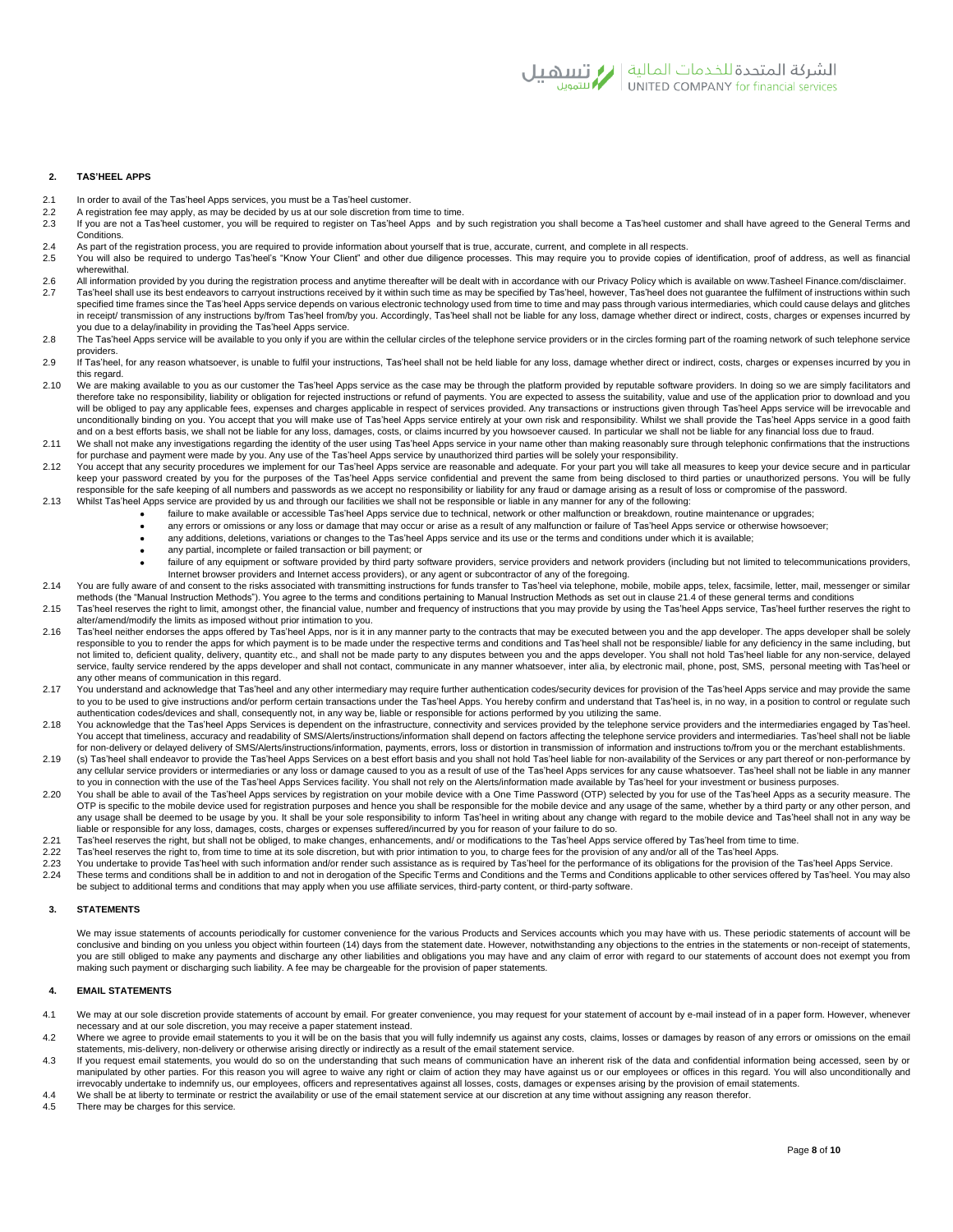

# **2. TAS'HEEL APPS**

- 
- 2.1 In order to avail of the Tas'heel Apps services, you must be a Tas'heel customer.<br>2.2 A registration fee may apply, as may be decided by us at our sole discretion from<br>2.3 If you are not a Tas'heel customer, you will b
- 2.2 A registration fee may apply, as may be decided by us at our sole discretion from time to time.<br>2.3 If you are not a Tas'heel customer, you will be required to register on Tas'heel Apps and by such registration you sha Conditions.
- 2.4 As part of the registration process, you are required to provide information about yourself that is true, accurate, current, and complete in all respects.<br>2.5 You will also be required to undergo Tas'heel's "Know Your
- 2.5 You will also be required to undergo Tas'heel's "Know Your Client" and other due diligence processes. This may require you to provide copies of identification, proof of address, as well as financial wherewithal.
- 2.6 All information provided by you during the registration process and anytime thereafter will be dealt with in accordance with our Privacy Policy which is available on www.Tasheel Finance.com/disclaimer. 2.7 Tas'heel shall use its best endeavors to carryout instructions received by it within such time as may be specified by Tas'heel, however, Tas'heel does not guarantee the fulfilment of instructions within such specified time frames since the Tas'heel Apps service depends on various electronic technology used from time to time and may pass through various intermediaries, which could cause delays and glitches in receipt/ transmission of any instructions by/from Tas'heel from/by you. Accordingly, Tas'heel shall not be liable for any loss, damage whether direct or indirect, costs, charges or expenses incurred by
- you due to a delay/inability in providing the Tas'heel Apps service. 2.8 The Tas'heel Apps service will be available to you only if you are within the cellular circles of the telephone service providers or in the circles forming part of the roaming network of such telephone service
- providers.<br>2.9 If Tas'heel, for any reason whatsoever, is unable to fulfil your instructions, Tas'heel shall not be held liable for any loss, damage whether direct or indirect, costs, charges or expenses incurred by you in this regard.
- 2.10 We are making available to you as our customer the Tas'heel Apps service as the case may be through the platform provided by reputable software providers. In doing so we are simply facilitators and therefore take no responsibility, liability or obligation for rejected instructions or refund of payments. You are expected to assess the suitability, value and use of the application prior to download and you will be obliged to pay any applicable fees, expenses and charges applicable in respect of services provided. Any transactions or instructions given through Tas'heel Apps service will be irrevocable and unconditionally binding on you. You accept that you will make use of Tas'heel Apps service entirely at your own risk and responsibility. Whilst we shall provide the Tas'heel Apps service in a good faith and on a best efforts basis, we shall not be liable for any loss, damages, costs, or claims incurred by you howsoever caused. In particular we shall not be liable for any financial loss due to fraud.
- 2.11 We shall not make any investigations regarding the identity of the user using Tas'heel Apps service in your name other than making reasonably sure through telephonic confirmations that the instructions for purchase and payment were made by you. Any use of the Tas'heel Apps service by unauthorized third parties will be solely your responsibility.
- 2.12 You accept that any security procedures we implement for our Tas'heel Apps service are reasonable and adequate. For your part you will take all measures to keep your device secure and in particular keep your password created by you for the purposes of the Tas'heel Apps service confidential and prevent the same from being disclosed to third parties or unauthorized persons. You will be fully responsible for the safe keeping of all numbers and passwords as we accept no responsibility or liability for any fraud or damage arising as a result of loss or compromise of the password.
- 2.13 Whilst Tas'heel Apps service are provided by us and through our facilities we shall not be responsible or liable in any manner for any of the following:
	- failure to make available or accessible Tas'heel Apps service due to technical, network or other malfunction or breakdown, routine maintenance or upgrades;
	- any errors or omissions or any loss or damage that may occur or arise as a result of any malfunction or failure of Tas'heel Apps service or otherwise howsoever; • any additions, deletions, variations or changes to the Tas'heel Apps service and its use or the terms and conditions under which it is available;
		- any partial, incomplete or failed transaction or bill payment; or
	- failure of any equipment or software provided by third party software providers, service providers and network providers (including but not limited to telecommunications providers, Internet browser providers and Internet access providers), or any agent or subcontractor of any of the foregoing.
- 2.14 You are fully aware of and consent to the risks associated with transmitting instructions for funds transfer to Tas'heel via telephone, mobile, mobile apps, telex, facsimile, letter, mail, messenger or similar methods (the "Manual Instruction Methods"). You agree to the terms and conditions pertaining to Manual Instruction Methods as set out in clause 21.4 of these general terms and conditions
- 2.15 Tas'heel reserves the right to limit, amongst other, the financial value, number and frequency of instructions that you may provide by using the Tas'heel Apps service, Tas'heel further reserves the right to alter/amend/modify the limits as imposed without prior intimation to you.
- 2.16 Tas'heel neither endorses the apps offered by Tas'heel Apps, nor is it in any manner party to the contracts that may be executed between you and the app developer. The apps developer shall be solely responsible to you to render the apps for which payment is to be made under the respective terms and conditions and Tas'heel shall not be responsible/ liable for any deficiency in the same including, but not limited to, deficient quality, delivery, quantity etc., and shall not be made party to any disputes between you and the apps developer. You shall not hold Tas'heel liable for any non-service, delayed service, faulty service rendered by the apps developer and shall not contact, communicate in any manner whatsoever, inter alia, by electronic mail, phone, post, SMS, personal meeting with Tas'heel or any other means of communication in this regard.
- 2.17 You understand and acknowledge that Tas'heel and any other intermediary may require further authentication codes/security devices for provision of the Tas'heel Apps service and may provide the same to you to be used to give instructions and/or perform certain transactions under the Tas'heel Apps. You hereby confirm and understand that Tas'heel is, in no way, in a position to control or regulate such authentication codes/devices and shall, consequently not, in any way be, liable or responsible for actions performed by you utilizing the same.
- 2.18 You acknowledge that the Tas'heel Apps Services is dependent on the infrastructure, connectivity and services provided by the telephone service providers and the intermediaries engaged by Tas'heel. You accept that timeliness, accuracy and readability of SMS/Alerts/instructions/information shall depend on factors affecting the telephone service providers and intermediaries. Tas'heel shall not be liable for non-delivery or delayed delivery of SMS/Alerts/instructions/information, payments, errors, loss or distortion in transmission of information and instructions to/from you or the merchant establishments.
- 2.19 (s) Tas'heel shall endeavor to provide the Tas'heel Apps Services on a best effort basis and you shall not hold Tas'heel liable for non-availability of the Services or any part thereof or non-performance by any cellular service providers or intermediaries or any loss or damage caused to you as a result of use of the Tas'heel Apps services for any cause whatsoever. Tas'heel shall not be liable in any manner to you in connection with the use of the Tas'heel Apps Services facility. You shall not rely on the Alerts/information made available by Tas'heel for your investment or business purposes.
- 2.20 You shall be able to avail of the Tas'heel Apps services by registration on your mobile device with a One Time Password (OTP) selected by you for use of the Tas'heel Apps as a security measure. The OTP is specific to the mobile device used for registration purposes and hence you shall be responsible for the mobile device and any usage of the same, whether by a third party or any other person, and any usage shall be deemed to be usage by you. It shall be your sole responsibility to inform Tas'heel in writing about any change with regard to the mobile device and Tas'heel shall not in any way be liable or responsible for any loss, damages, costs, charges or expenses suffered/incurred by you for reason of your failure to do so.
- 2.21 Tas'heel reserves the right, but shall not be obliged, to make changes, enhancements, and/ or modifications to the Tas'heel Apps service offered by Tas'heel from time to time.
- 2.22 Tas'heel reserves the right to, from time to time at its sole discretion, but with prior intimation to you, to charge fees for the provision of any and/or all of the Tas'heel Apps.<br>2.23 You undertake to provide Tas'he
- 2.23 You undertake to provide Tas'heel with such information and/or render such assistance as is required by Tas'heel for the performance of its obligations for the provision of the Tas'heel Apps Service.<br>2.24 These terms
- These terms and conditions shall be in addition to and not in derogation of the Specific Terms and Conditions and the Terms and Conditions applicable to other services offered by Tas heel. You may also be subject to additional terms and conditions that may apply when you use affiliate services, third-party content, or third-party software.

## **3. STATEMENTS**

We may issue statements of accounts periodically for customer convenience for the various Products and Services accounts which you may have with us. These periodic statements of account will be conclusive and binding on you unless you object within fourteen (14) days from the statement date. However, notwithstanding any objections to the entries in the statements or non-receipt of statements, you are still obliged to make any payments and discharge any other liabilities and obligations you may have and any claim of error with regard to our statements of account does not exempt you from making such payment or discharging such liability. A fee may be chargeable for the provision of paper statements.

# **4. EMAIL STATEMENTS**

- 4.1 We may at our sole discretion provide statements of account by email. For greater convenience, you may request for your statement of account by e-mail instead of in a paper form. However, whenever necessary and at our sole discretion, you may receive a paper statement instead.
- 4.2 Where we agree to provide email statements to you it will be on the basis that you will fully indemnify us against any costs, claims, losses or damages by reason of any errors or omissions on the email statements, mis-delivery, non-delivery or otherwise arising directly or indirectly as a result of the email statement service.
- 4.3 If you request email statements, you would do so on the understanding that such means of communication have an inherent risk of the data and confidential information being accessed, seen by or manipulated by other parties. For this reason you will agree to waive any right or claim of action they may have against us or our employees or offices in this regard. You will also unconditionally and irrevocably undertake to indemnify us, our employees, officers and representatives against all losses, costs, damages or expenses arising by the provision of email statements.
- 4.4 We shall be at liberty to terminate or restrict the availability or use of the email statement service at our discretion at any time without assigning any reason therefor.
- 4.5 There may be charges for this service.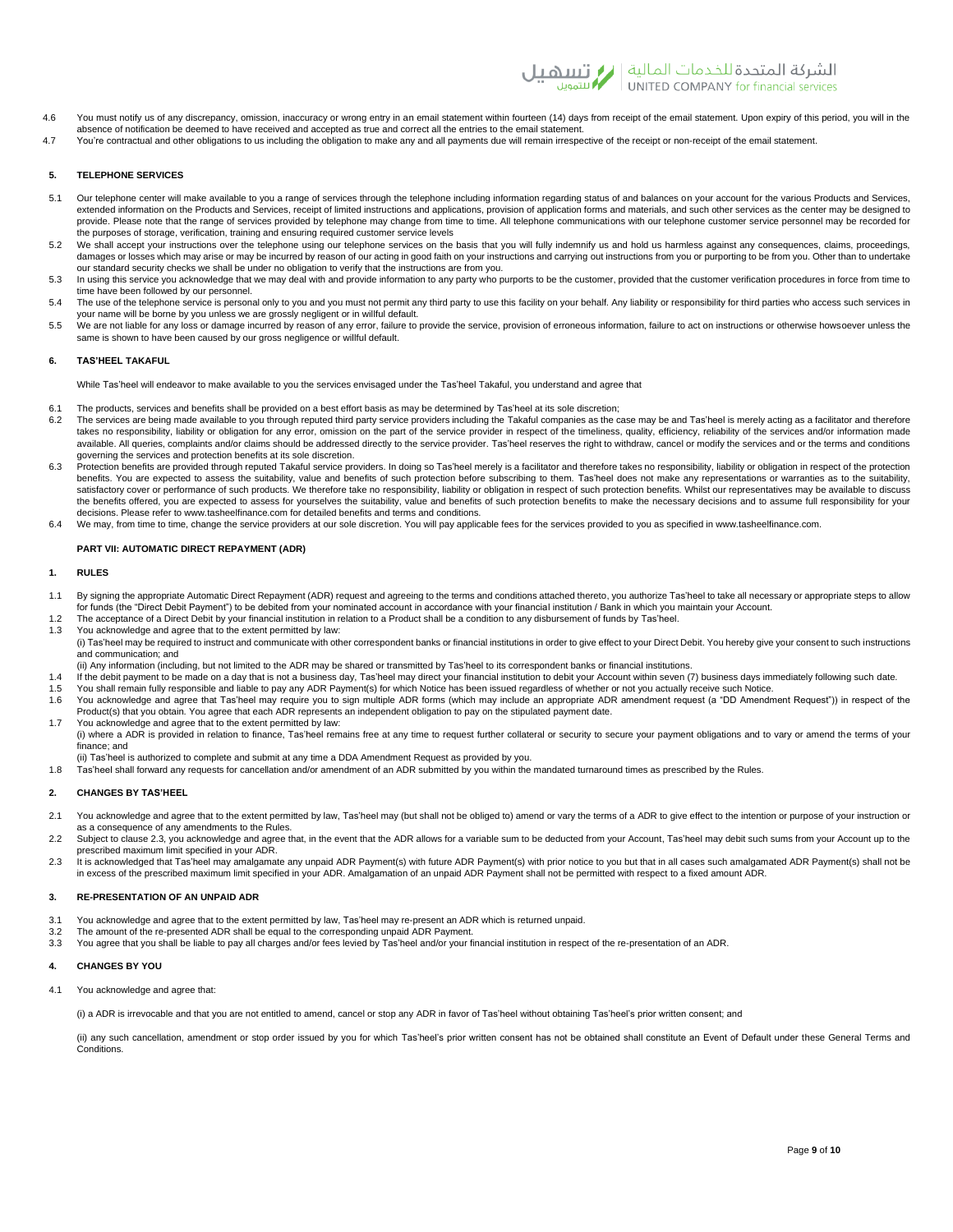

- 4.6 You must notify us of any discrepancy, omission, inaccuracy or wrong entry in an email statement within fourteen (14) days from receipt of the email statement. Upon expiry of this period, you will in the absence of notification be deemed to have received and accepted as true and correct all the entries to the email statement.
- 4.7 You're contractual and other obligations to us including the obligation to make any and all payments due will remain irrespective of the receipt or non-receipt of the email statement.

# **5. TELEPHONE SERVICES**

- 5.1 Our telephone center will make available to you a range of services through the telephone including information regarding status of and balances on your account for the various Products and Services, extended information on the Products and Services, receipt of limited instructions and applications, provision of application forms and materials, and such other services as the center may be designed to provide. Please note that the range of services provided by telephone may change from time to time. All telephone communications with our telephone customer service personnel may be recorded for the purposes of storage, verification, training and ensuring required customer service levels
- 5.2 We shall accept your instructions over the telephone using our telephone services on the basis that you will fully indemnify us and hold us harmless against any consequences, claims, proceedings, damages or losses which may arise or may be incurred by reason of our acting in good faith on your instructions and carrying out instructions from you or purporting to be from you. Other than to undertake our standard security checks we shall be under no obligation to verify that the instructions are from you.
- 5.3 In using this service you acknowledge that we may deal with and provide information to any party who purports to be the customer, provided that the customer verification procedures in force from time to time have been followed by our personnel.
- 5.4 The use of the telephone service is personal only to you and you must not permit any third party to use this facility on your behalf. Any liability or responsibility for third parties who access such services in your name will be borne by you unless we are grossly negligent or in willful default.
- you, hanno the because by exergive rote and gradent contract or matter in the service, provision of erroneous information, failure to act on instructions or otherwise howsoever unless the service, provision of erroneous in same is shown to have been caused by our gross negligence or willful default.

## **6. TAS'HEEL TAKAFUL**

While Tas'heel will endeavor to make available to you the services envisaged under the Tas'heel Takaful, you understand and agree that

- 6.1 The products, services and benefits shall be provided on a best effort basis as may be determined by Tas'heel at its sole discretion;
- 6.2 The services are being made available to you through reputed third party service providers including the Takaful companies as the case may be and Tas'heel is merely acting as a facilitator and therefore takes no responsibility, liability or obligation for any error, omission on the part of the service provider in respect of the timeliness, quality, efficiency, reliability of the services and/or information made available. All queries, complaints and/or claims should be addressed directly to the service provider. Tas heel reserves the right to withdraw, cancel or modify the services and or the terms and conditions governing the services and protection benefits at its sole discretion.
- 6.3 Protection benefits are provided through reputed Takaful service providers. In doing so Tas'heel merely is a facilitator and therefore takes no responsibility, liability or obligation in respect of the protection benefits. You are expected to assess the suitability, value and benefits of such protection before subscribing to them. Tas heel does not make any representations or warranties as to the suitability,<br>satisfactory cover or the benefits offered, you are expected to assess for yourselves the suitability, value and benefits of such protection benefits to make the necessary decisions and to assume full responsibility for your decisions. Please refer to www.tasheelfinance.com for detailed benefits and terms and conditions.
- 6.4 We may, from time to time, change the service providers at our sole discretion. You will pay applicable fees for the services provided to you as specified in www.tasheelfinance.com.

## **PART VII: AUTOMATIC DIRECT REPAYMENT (ADR)**

## **1. RULES**

- 1.1 By signing the appropriate Automatic Direct Repayment (ADR) request and agreeing to the terms and conditions attached thereto, you authorize Tas'heel to take all necessary or appropriate steps to allow for funds (the "Direct Debit Payment") to be debited from your nominated account in accordance with your financial institution / Bank in which you maintain your Account.
- 1.2 The acceptance of a Direct Debit by your financial institution in relation to a Product shall be a condition to any disbursement of funds by Tas'heel.
- 1.3 You acknowledge and agree that to the extent permitted by law: (i) Tas'heel may be required to instruct and communicate with other correspondent banks or financial institutions in order to give effect to your Direct Debit. You hereby give your consent to such instructions and communication; and
- (ii) Any information (including, but not limited to the ADR may be shared or transmitted by Tas'heel to its correspondent banks or financial institutions.
- 1.4 If the debit payment to be made on a day that is not a business day, Tas'heel may direct your financial institution to debit your Account within seven (7) business days immediately following such date.
- 1.5 You shall remain fully responsible and liable to pay any ADR Payment(s) for which Notice has been issued regardless of whether or not you actually receive such Notice. 1.6 You acknowledge and agree that Tas'heel may require you to sign multiple ADR forms (which may include an appropriate ADR amendment request (a "DD Amendment Request")) in respect of the
- Product(s) that you obtain. You agree that each ADR represents an independent obligation to pay on the stipulated payment date. 1.7 You acknowledge and agree that to the extent permitted by law:
- (i) where a ADR is provided in relation to finance, Tas'heel remains free at any time to request further collateral or security to secure your payment obligations and to vary or amend the terms of your finance; and
- 
- ii) Tas'heel is authorized to complete and submit at any time a DDA Amendment Request as provided by you.<br>1.8 Tas'heel shall forward any requests for cancellation and/or amendment of an ADR submitted by you within the mand

## **2. CHANGES BY TAS'HEEL**

- 2.1 You acknowledge and agree that to the extent permitted by law, Tas'heel may (but shall not be obliged to) amend or vary the terms of a ADR to give effect to the intention or purpose of your instruction or as a consequence of any amendments to the Rules.
- 2.2 Subject to clause 2.3, you acknowledge and agree that, in the event that the ADR allows for a variable sum to be deducted from your Account, Tas'heel may debit such sums from your Account up to the prescribed maximum limit specified in your ADR.
- 2.3 It is acknowledged that Tas'heel may amalgamate any unpaid ADR Payment(s) with future ADR Payment(s) with prior notice to you but that in all cases such amalgamated ADR Payment(s) shall not be in excess of the prescribed maximum limit specified in your ADR. Amalgamation of an unpaid ADR Payment shall not be permitted with respect to a fixed amount ADR.

## **3. RE-PRESENTATION OF AN UNPAID ADR**

- 3.1 You acknowledge and agree that to the extent permitted by law, Tas'heel may re-present an ADR which is returned unpaid.<br>3.2 The amount of the re-presented ADR shall be equal to the corresponding unpaid ADR Payment.
- 3.2 The amount of the re-presented ADR shall be equal to the corresponding unpaid ADR Payment.<br>3.3 You agree that you shall be liable to pay all charges and/or fees levied by Tas'heel and/or your f
- You agree that you shall be liable to pay all charges and/or fees levied by Tas'heel and/or your financial institution in respect of the re-presentation of an ADR.

# **4. CHANGES BY YOU**

4.1 You acknowledge and agree that:

(i) a ADR is irrevocable and that you are not entitled to amend, cancel or stop any ADR in favor of Tas'heel without obtaining Tas'heel's prior written consent; and

(ii) any such cancellation, amendment or stop order issued by you for which Tas'heel's prior written consent has not be obtained shall constitute an Event of Default under these General Terms and Conditions.